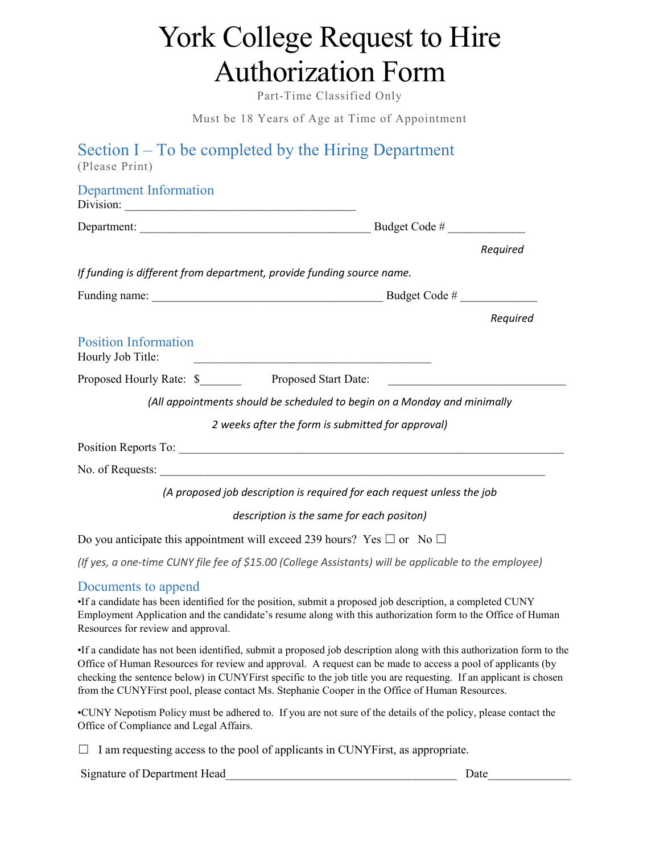# York College Request to Hire Authorization Form

Part-Time Classified Only

Must be 18 Years of Age at Time of Appointment

| Section $I - To$ be completed by the Hiring Department<br>(Please Print)                                                                                                                                                                                                                                                                                                                                                                                  |          |
|-----------------------------------------------------------------------------------------------------------------------------------------------------------------------------------------------------------------------------------------------------------------------------------------------------------------------------------------------------------------------------------------------------------------------------------------------------------|----------|
| <b>Department Information</b><br>Division:                                                                                                                                                                                                                                                                                                                                                                                                                |          |
|                                                                                                                                                                                                                                                                                                                                                                                                                                                           |          |
|                                                                                                                                                                                                                                                                                                                                                                                                                                                           | Required |
| If funding is different from department, provide funding source name.                                                                                                                                                                                                                                                                                                                                                                                     |          |
|                                                                                                                                                                                                                                                                                                                                                                                                                                                           |          |
|                                                                                                                                                                                                                                                                                                                                                                                                                                                           | Required |
| <b>Position Information</b><br>Hourly Job Title:<br><u> 1980 - Johann Barn, fransk politik fotograf (d. 1980)</u>                                                                                                                                                                                                                                                                                                                                         |          |
|                                                                                                                                                                                                                                                                                                                                                                                                                                                           |          |
| (All appointments should be scheduled to begin on a Monday and minimally                                                                                                                                                                                                                                                                                                                                                                                  |          |
| 2 weeks after the form is submitted for approval)                                                                                                                                                                                                                                                                                                                                                                                                         |          |
|                                                                                                                                                                                                                                                                                                                                                                                                                                                           |          |
|                                                                                                                                                                                                                                                                                                                                                                                                                                                           |          |
| (A proposed job description is required for each request unless the job                                                                                                                                                                                                                                                                                                                                                                                   |          |
| description is the same for each positon)                                                                                                                                                                                                                                                                                                                                                                                                                 |          |
| Do you anticipate this appointment will exceed 239 hours? Yes $\Box$ or No $\Box$                                                                                                                                                                                                                                                                                                                                                                         |          |
| (If yes, a one-time CUNY file fee of \$15.00 (College Assistants) will be applicable to the employee)                                                                                                                                                                                                                                                                                                                                                     |          |
| Documents to append<br>If a candidate has been identified for the position, submit a proposed job description, a completed CUNY<br>Employment Application and the candidate's resume along with this authorization form to the Office of Human<br>Resources for review and approval.                                                                                                                                                                      |          |
| If a candidate has not been identified, submit a proposed job description along with this authorization form to the<br>Office of Human Resources for review and approval. A request can be made to access a pool of applicants (by<br>checking the sentence below) in CUNYFirst specific to the job title you are requesting. If an applicant is chosen<br>from the CUNYFirst pool, please contact Ms. Stephanie Cooper in the Office of Human Resources. |          |
| •CUNY Nepotism Policy must be adhered to. If you are not sure of the details of the policy, please contact the<br>Office of Compliance and Legal Affairs.                                                                                                                                                                                                                                                                                                 |          |
| I am requesting access to the pool of applicants in CUNYFirst, as appropriate.                                                                                                                                                                                                                                                                                                                                                                            |          |
| Signature of Department Head                                                                                                                                                                                                                                                                                                                                                                                                                              | Date     |